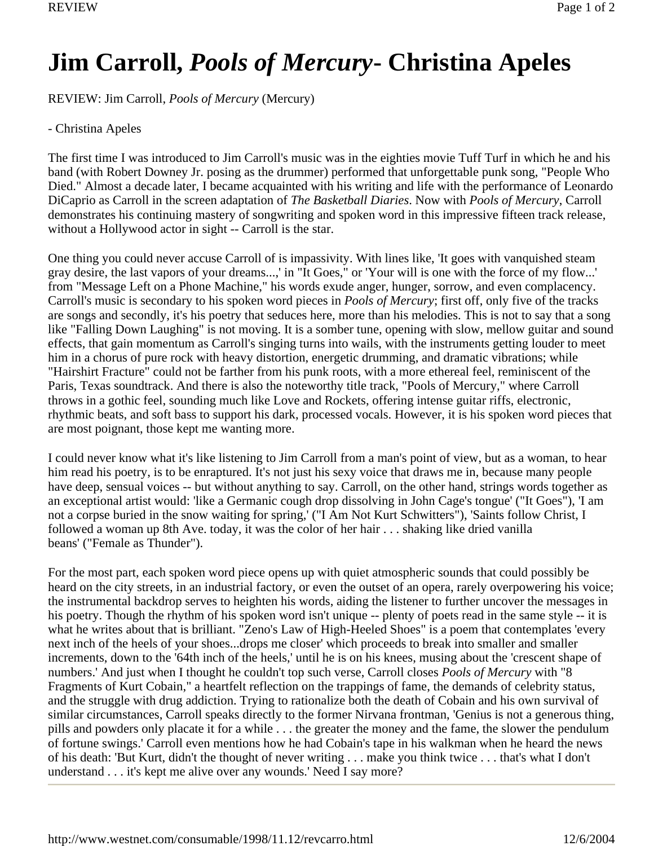## **Jim Carroll,** *Pools of Mercury***- Christina Apeles**

REVIEW: Jim Carroll, *Pools of Mercury* (Mercury)

## - Christina Apeles

The first time I was introduced to Jim Carroll's music was in the eighties movie Tuff Turf in which he and his band (with Robert Downey Jr. posing as the drummer) performed that unforgettable punk song, "People Who Died." Almost a decade later, I became acquainted with his writing and life with the performance of Leonardo DiCaprio as Carroll in the screen adaptation of *The Basketball Diaries*. Now with *Pools of Mercury*, Carroll demonstrates his continuing mastery of songwriting and spoken word in this impressive fifteen track release, without a Hollywood actor in sight -- Carroll is the star.

One thing you could never accuse Carroll of is impassivity. With lines like, 'It goes with vanquished steam gray desire, the last vapors of your dreams...,' in "It Goes," or 'Your will is one with the force of my flow...' from "Message Left on a Phone Machine," his words exude anger, hunger, sorrow, and even complacency. Carroll's music is secondary to his spoken word pieces in *Pools of Mercury*; first off, only five of the tracks are songs and secondly, it's his poetry that seduces here, more than his melodies. This is not to say that a song like "Falling Down Laughing" is not moving. It is a somber tune, opening with slow, mellow guitar and sound effects, that gain momentum as Carroll's singing turns into wails, with the instruments getting louder to meet him in a chorus of pure rock with heavy distortion, energetic drumming, and dramatic vibrations; while "Hairshirt Fracture" could not be farther from his punk roots, with a more ethereal feel, reminiscent of the Paris, Texas soundtrack. And there is also the noteworthy title track, "Pools of Mercury," where Carroll throws in a gothic feel, sounding much like Love and Rockets, offering intense guitar riffs, electronic, rhythmic beats, and soft bass to support his dark, processed vocals. However, it is his spoken word pieces that are most poignant, those kept me wanting more.

I could never know what it's like listening to Jim Carroll from a man's point of view, but as a woman, to hear him read his poetry, is to be enraptured. It's not just his sexy voice that draws me in, because many people have deep, sensual voices -- but without anything to say. Carroll, on the other hand, strings words together as an exceptional artist would: 'like a Germanic cough drop dissolving in John Cage's tongue' ("It Goes"), 'I am not a corpse buried in the snow waiting for spring,' ("I Am Not Kurt Schwitters"), 'Saints follow Christ, I followed a woman up 8th Ave. today, it was the color of her hair . . . shaking like dried vanilla beans' ("Female as Thunder").

For the most part, each spoken word piece opens up with quiet atmospheric sounds that could possibly be heard on the city streets, in an industrial factory, or even the outset of an opera, rarely overpowering his voice; the instrumental backdrop serves to heighten his words, aiding the listener to further uncover the messages in his poetry. Though the rhythm of his spoken word isn't unique -- plenty of poets read in the same style -- it is what he writes about that is brilliant. "Zeno's Law of High-Heeled Shoes" is a poem that contemplates 'every next inch of the heels of your shoes...drops me closer' which proceeds to break into smaller and smaller increments, down to the '64th inch of the heels,' until he is on his knees, musing about the 'crescent shape of numbers.' And just when I thought he couldn't top such verse, Carroll closes *Pools of Mercury* with "8 Fragments of Kurt Cobain," a heartfelt reflection on the trappings of fame, the demands of celebrity status, and the struggle with drug addiction. Trying to rationalize both the death of Cobain and his own survival of similar circumstances, Carroll speaks directly to the former Nirvana frontman, 'Genius is not a generous thing, pills and powders only placate it for a while . . . the greater the money and the fame, the slower the pendulum of fortune swings.' Carroll even mentions how he had Cobain's tape in his walkman when he heard the news of his death: 'But Kurt, didn't the thought of never writing . . . make you think twice . . . that's what I don't understand . . . it's kept me alive over any wounds.' Need I say more?